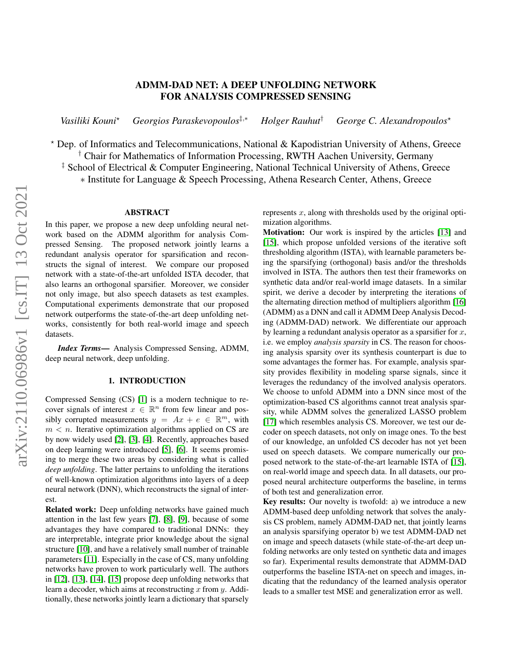# ADMM-DAD NET: A DEEP UNFOLDING NETWORK FOR ANALYSIS COMPRESSED SENSING

*Vasiliki Kouni*? *Georgios Paraskevopoulos*‡,<sup>∗</sup> *Holger Rauhut*† *George C. Alexandropoulos*?

? Dep. of Informatics and Telecommunications, National & Kapodistrian University of Athens, Greece † Chair for Mathematics of Information Processing, RWTH Aachen University, Germany

‡ School of Electrical & Computer Engineering, National Technical University of Athens, Greece

∗ Institute for Language & Speech Processing, Athena Research Center, Athens, Greece

#### ABSTRACT

In this paper, we propose a new deep unfolding neural network based on the ADMM algorithm for analysis Compressed Sensing. The proposed network jointly learns a redundant analysis operator for sparsification and reconstructs the signal of interest. We compare our proposed network with a state-of-the-art unfolded ISTA decoder, that also learns an orthogonal sparsifier. Moreover, we consider not only image, but also speech datasets as test examples. Computational experiments demonstrate that our proposed network outperforms the state-of-the-art deep unfolding networks, consistently for both real-world image and speech datasets.

*Index Terms*— Analysis Compressed Sensing, ADMM, deep neural network, deep unfolding.

### 1. INTRODUCTION

Compressed Sensing (CS) [\[1\]](#page-4-0) is a modern technique to recover signals of interest  $x \in \mathbb{R}^n$  from few linear and possibly corrupted measurements  $y = Ax + e \in \mathbb{R}^m$ , with  $m < n$ . Iterative optimization algorithms applied on CS are by now widely used [\[2\]](#page-4-1), [\[3\]](#page-4-2), [\[4\]](#page-4-3). Recently, approaches based on deep learning were introduced [\[5\]](#page-4-4), [\[6\]](#page-4-5). It seems promising to merge these two areas by considering what is called *deep unfolding*. The latter pertains to unfolding the iterations of well-known optimization algorithms into layers of a deep neural network (DNN), which reconstructs the signal of interest.

Related work: Deep unfolding networks have gained much attention in the last few years [\[7\]](#page-4-6), [\[8\]](#page-4-7), [\[9\]](#page-4-8), because of some advantages they have compared to traditional DNNs: they are interpretable, integrate prior knowledge about the signal structure [\[10\]](#page-4-9), and have a relatively small number of trainable parameters [\[11\]](#page-4-10). Especially in the case of CS, many unfolding networks have proven to work particularly well. The authors in [\[12\]](#page-4-11), [\[13\]](#page-4-12), [\[14\]](#page-4-13), [\[15\]](#page-4-14) propose deep unfolding networks that learn a decoder, which aims at reconstructing x from y. Additionally, these networks jointly learn a dictionary that sparsely

represents  $x$ , along with thresholds used by the original optimization algorithms.

Motivation: Our work is inspired by the articles [\[13\]](#page-4-12) and [\[15\]](#page-4-14), which propose unfolded versions of the iterative soft thresholding algorithm (ISTA), with learnable parameters being the sparsifying (orthogonal) basis and/or the thresholds involved in ISTA. The authors then test their frameworks on synthetic data and/or real-world image datasets. In a similar spirit, we derive a decoder by interpreting the iterations of the alternating direction method of multipliers algorithm [\[16\]](#page-4-15) (ADMM) as a DNN and call it ADMM Deep Analysis Decoding (ADMM-DAD) network. We differentiate our approach by learning a redundant analysis operator as a sparsifier for  $x$ , i.e. we employ *analysis sparsity* in CS. The reason for choosing analysis sparsity over its synthesis counterpart is due to some advantages the former has. For example, analysis sparsity provides flexibility in modeling sparse signals, since it leverages the redundancy of the involved analysis operators. We choose to unfold ADMM into a DNN since most of the optimization-based CS algorithms cannot treat analysis sparsity, while ADMM solves the generalized LASSO problem [\[17\]](#page-4-16) which resembles analysis CS. Moreover, we test our decoder on speech datasets, not only on image ones. To the best of our knowledge, an unfolded CS decoder has not yet been used on speech datasets. We compare numerically our proposed network to the state-of-the-art learnable ISTA of [\[15\]](#page-4-14), on real-world image and speech data. In all datasets, our proposed neural architecture outperforms the baseline, in terms of both test and generalization error.

Key results: Our novelty is twofold: a) we introduce a new ADMM-based deep unfolding network that solves the analysis CS problem, namely ADMM-DAD net, that jointly learns an analysis sparsifying operator b) we test ADMM-DAD net on image and speech datasets (while state-of-the-art deep unfolding networks are only tested on synthetic data and images so far). Experimental results demonstrate that ADMM-DAD outperforms the baseline ISTA-net on speech and images, indicating that the redundancy of the learned analysis operator leads to a smaller test MSE and generalization error as well.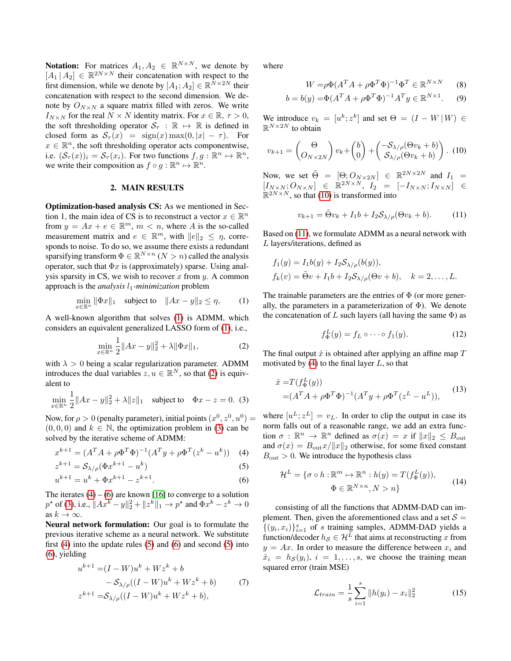**Notation:** For matrices  $A_1, A_2 \in \mathbb{R}^{N \times N}$ , we denote by  $[A_1 | A_2] \in \mathbb{R}^{2N \times N}$  their concatenation with respect to the first dimension, while we denote by  $[A_1; A_2] \in \mathbb{R}^{\bar{N} \times 2N}$  their concatenation with respect to the second dimension. We denote by  $O_{N \times N}$  a square matrix filled with zeros. We write  $I_{N\times N}$  for the real  $N \times N$  identity matrix. For  $x \in \mathbb{R}, \tau > 0$ , the soft thresholding operator  $S_{\tau} : \mathbb{R} \mapsto \mathbb{R}$  is defined in closed form as  $S_{\tau}(x) = \text{sign}(x) \max(0, |x| - \tau)$ . For  $x \in \mathbb{R}^n$ , the soft thresholding operator acts componentwise, i.e.  $(\mathcal{S}_{\tau}(x))_i = \mathcal{S}_{\tau}(x_i)$ . For two functions  $f, g : \mathbb{R}^n \mapsto \mathbb{R}^n$ , we write their composition as  $f \circ g : \mathbb{R}^n \mapsto \mathbb{R}^n$ .

### 2. MAIN RESULTS

Optimization-based analysis CS: As we mentioned in Section 1, the main idea of CS is to reconstruct a vector  $x \in \mathbb{R}^n$ from  $y = Ax + e \in \mathbb{R}^m$ ,  $m < n$ , where A is the so-called measurement matrix and  $e \in \mathbb{R}^m$ , with  $||e||_2 \leq \eta$ , corresponds to noise. To do so, we assume there exists a redundant sparsifying transform  $\Phi \in \mathbb{R}^{N \times n}$   $(N > n)$  called the analysis operator, such that  $\Phi x$  is (approximately) sparse. Using analysis sparsity in CS, we wish to recover  $x$  from  $y$ . A common approach is the *analysis*  $l_1$ -minimization problem

<span id="page-1-0"></span>
$$
\min_{x \in \mathbb{R}^n} \|\Phi x\|_1 \quad \text{subject to} \quad \|Ax - y\|_2 \le \eta,\tag{1}
$$

A well-known algorithm that solves [\(1\)](#page-1-0) is ADMM, which considers an equivalent generalized LASSO form of [\(1\)](#page-1-0), i.e.,

<span id="page-1-1"></span>
$$
\min_{x \in \mathbb{R}^n} \frac{1}{2} \|Ax - y\|_2^2 + \lambda \|\Phi x\|_1,\tag{2}
$$

with  $\lambda > 0$  being a scalar regularization parameter. ADMM introduces the dual variables  $z, u \in \mathbb{R}^N$ , so that [\(2\)](#page-1-1) is equivalent to

<span id="page-1-2"></span>
$$
\min_{x \in \mathbb{R}^n} \frac{1}{2} \|Ax - y\|_2^2 + \lambda \|z\|_1 \quad \text{subject to} \quad \Phi x - z = 0. \tag{3}
$$

Now, for  $\rho > 0$  (penalty parameter), initial points  $(x^0, z^0, u^0) =$  $(0, 0, 0)$  and  $k \in \mathbb{N}$ , the optimization problem in [\(3\)](#page-1-2) can be solved by the iterative scheme of ADMM:

$$
x^{k+1} = (A^T A + \rho \Phi^T \Phi)^{-1} (A^T y + \rho \Phi^T (z^k - u^k)) \quad (4)
$$

$$
z^{k+1} = \mathcal{S}_{\lambda/\rho}(\Phi x^{k+1} - u^k)
$$
 (5)

$$
u^{k+1} = u^k + \Phi x^{k+1} - z^{k+1}.
$$
 (6)

The iterates  $(4) - (6)$  $(4) - (6)$  $(4) - (6)$  are known [\[16\]](#page-4-15) to converge to a solution  $p^*$  of [\(3\)](#page-1-2), i.e.,  $||Ax^k - y||_2^2 + ||z^k||_1 \to p^*$  and  $\Phi x^k - z^k \to 0$ as  $k \to \infty$ .

Neural network formulation: Our goal is to formulate the previous iterative scheme as a neural network. We substitute first [\(4\)](#page-1-3) into the update rules [\(5\)](#page-1-5) and [\(6\)](#page-1-4) and second [\(5\)](#page-1-5) into [\(6\)](#page-1-4), yielding

$$
u^{k+1} = (I - W)u^{k} + Wz^{k} + b
$$
  
-  $\mathcal{S}_{\lambda/\rho}((I - W)u^{k} + Wz^{k} + b)$  (7)  

$$
z^{k+1} = \mathcal{S}_{\lambda/\rho}((I - W)u^{k} + Wz^{k} + b),
$$

where

$$
W = \rho \Phi (A^T A + \rho \Phi^T \Phi)^{-1} \Phi^T \in \mathbb{R}^{N \times N}
$$
 (8)

$$
b = b(y) = \Phi(A^T A + \rho \Phi^T \Phi)^{-1} A^T y \in \mathbb{R}^{N \times 1}.
$$
 (9)

We introduce  $v_k = [u^k; z^k]$  and set  $\Theta = (I - W|W) \in$  $\mathbb{R}^{N\times 2N}$  to obtain

<span id="page-1-6"></span>
$$
v_{k+1} = \begin{pmatrix} \Theta \\ O_{N\times 2N} \end{pmatrix} v_k + \begin{pmatrix} b \\ 0 \end{pmatrix} + \begin{pmatrix} -S_{\lambda/\rho}(\Theta v_k + b) \\ S_{\lambda/\rho}(\Theta v_k + b) \end{pmatrix} . (10)
$$

Now, we set  $\tilde{\Theta} = [\Theta; O_{N\times 2N}] \in \mathbb{R}^{2N\times 2N}$  and  $I_1 =$  $\left[ I_{N\times N} ; O_{N\times N} \right] \hspace{.1cm} \in \hspace{.1cm} \mathbb{\dot{R}}^{2N\times N}, \hspace{.1cm} I_2 \hspace{.1cm} = \hspace{.1cm} \left[ -I_{N\times N} ; I_{N\times N} \right] \hspace{.1cm} \in$  $\mathbb{R}^{2N \times N}$ , so that [\(10\)](#page-1-6) is transformed into

<span id="page-1-7"></span>
$$
v_{k+1} = \tilde{\Theta}v_k + I_1b + I_2\mathcal{S}_{\lambda/\rho}(\Theta v_k + b). \tag{11}
$$

Based on [\(11\)](#page-1-7), we formulate ADMM as a neural network with L layers/iterations, defined as

$$
f_1(y) = I_1b(y) + I_2S_{\lambda/\rho}(b(y)),
$$
  
\n
$$
f_k(v) = \tilde{\Theta}v + I_1b + I_2S_{\lambda/\rho}(\Theta v + b), \quad k = 2, ..., L.
$$

The trainable parameters are the entries of  $\Phi$  (or more generally, the parameters in a parameterization of  $\Phi$ ). We denote the concatenation of L such layers (all having the same  $\Phi$ ) as

$$
f_{\Phi}^{L}(y) = f_{L} \circ \cdots \circ f_{1}(y). \tag{12}
$$

The final output  $\hat{x}$  is obtained after applying an affine map  $T$ motivated by  $(4)$  to the final layer L, so that

$$
\hat{x} = T(f_{\Phi}^{L}(y))
$$
  
=  $(A^{T}A + \rho \Phi^{T}\Phi)^{-1}(A^{T}y + \rho \Phi^{T}(z^{L} - u^{L})),$  (13)

<span id="page-1-3"></span>where  $[u^L; z^L] = v_L$ . In order to clip the output in case its norm falls out of a reasonable range, we add an extra function  $\sigma : \mathbb{R}^n \to \mathbb{R}^n$  defined as  $\sigma(x) = x$  if  $||x||_2 \leq B_{\text{out}}$ and  $\sigma(x) = B_{\text{out}}x/||x||_2$  otherwise, for some fixed constant  $B_{\text{out}} > 0$ . We introduce the hypothesis class

<span id="page-1-8"></span><span id="page-1-5"></span>
$$
\mathcal{H}^{L} = \{ \sigma \circ h : \mathbb{R}^{m} \mapsto \mathbb{R}^{n} : h(y) = T(f_{\Phi}^{L}(y)),
$$
  

$$
\Phi \in \mathbb{R}^{N \times n}, N > n \}
$$
 (14)

<span id="page-1-4"></span>consisting of all the functions that ADMM-DAD can implement. Then, given the aforementioned class and a set  $S =$  $\{(y_i, x_i)\}_{i=1}^s$  of s training samples, ADMM-DAD yields a function/decoder  $h_S \in \mathcal{H}^L$  that aims at reconstructing x from  $y = Ax$ . In order to measure the difference between  $x_i$  and  $\hat{x}_i = h_{\mathcal{S}}(y_i), i = 1, \ldots, s$ , we choose the training mean squared error (train MSE)

$$
\mathcal{L}_{train} = \frac{1}{s} \sum_{i=1}^{s} ||h(y_i) - x_i||_2^2 \tag{15}
$$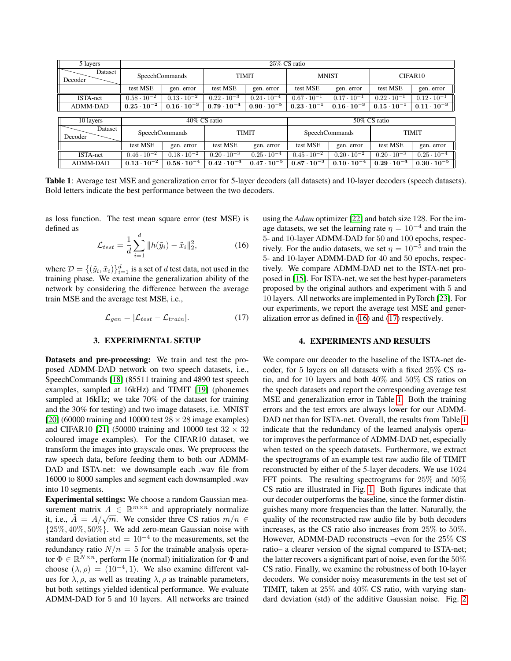<span id="page-2-2"></span>

| 5 layers           | 25% CS ratio          |                      |                      |                      |                       |                      |                      |                      |
|--------------------|-----------------------|----------------------|----------------------|----------------------|-----------------------|----------------------|----------------------|----------------------|
| Dataset<br>Decoder | SpeechCommands        |                      | <b>TIMIT</b>         |                      | <b>MNIST</b>          |                      | CIFAR10              |                      |
|                    | test MSE              | gen. error           | test MSE             | gen. error           | test MSE              | gen. error           | test MSE             | gen. error           |
| ISTA-net           | $0.58 \cdot 10^{-2}$  | $0.13 \cdot 10^{-2}$ | $0.22 \cdot 10^{-3}$ | $0.24 \cdot 10^{-4}$ | $0.67 \cdot 10^{-1}$  | $0.17 \cdot 10^{-1}$ | $0.22 \cdot 10^{-1}$ | $0.12 \cdot 10^{-1}$ |
| <b>ADMM-DAD</b>    | $0.25\cdot10^{-2}$    | $0.16\cdot10^{-3}$   | $0.79\cdot10^{-4}$   | $0.90\cdot10^{-5}$   | $0.23 \cdot 10^{-1}$  | $0.16 \cdot 10^{-3}$ | $0.15 \cdot 10^{-1}$ | $0.11 \cdot 10^{-3}$ |
|                    |                       |                      |                      |                      |                       |                      |                      |                      |
| 10 layers          | 40% CS ratio          |                      |                      |                      | 50% CS ratio          |                      |                      |                      |
| Dataset<br>Decoder | <b>SpeechCommands</b> |                      | <b>TIMIT</b>         |                      | <b>SpeechCommands</b> |                      | <b>TIMIT</b>         |                      |
|                    | test MSE              | gen. error           | test MSE             | gen. error           | test MSE              | gen. error           | test MSE             | gen. error           |
| ISTA-net           | $0.46 \cdot 10^{-2}$  | $0.18 \cdot 10^{-2}$ | $0.20 \cdot 10^{-3}$ | $0.25 \cdot 10^{-4}$ | $0.45 \cdot 10^{-2}$  | $0.20 \cdot 10^{-2}$ | $0.20 \cdot 10^{-3}$ | $0.25 \cdot 10^{-4}$ |
| ADMM-DAD           | $0.13\cdot10^{-2}$    | $0.58\cdot10^{-4}$   | $0.42\cdot10^{-4}$   | $0.47\cdot10^{-5}$   | $0.87\cdot10^{-3}$    | $0.10 \cdot 10^{-4}$ | $0.29\cdot10^{-4}$   | $0.30\cdot10^{-5}$   |

Table 1: Average test MSE and generalization error for 5-layer decoders (all datasets) and 10-layer decoders (speech datasets). Bold letters indicate the best performance between the two decoders.

as loss function. The test mean square error (test MSE) is defined as

<span id="page-2-0"></span>
$$
\mathcal{L}_{test} = \frac{1}{d} \sum_{i=1}^{d} \|h(\tilde{y}_i) - \tilde{x}_i\|_2^2, \tag{16}
$$

where  $\mathcal{D} = \{(\tilde{y}_i, \tilde{x}_i)\}_{i=1}^d$  is a set of  $d$  test data, not used in the training phase. We examine the generalization ability of the network by considering the difference between the average train MSE and the average test MSE, i.e.,

<span id="page-2-1"></span>
$$
\mathcal{L}_{gen} = |\mathcal{L}_{test} - \mathcal{L}_{train}|. \tag{17}
$$

#### 3. EXPERIMENTAL SETUP

Datasets and pre-processing: We train and test the proposed ADMM-DAD network on two speech datasets, i.e., SpeechCommands [\[18\]](#page-4-17) (85511 training and 4890 test speech examples, sampled at 16kHz) and TIMIT [\[19\]](#page-4-18) (phonemes sampled at 16kHz; we take 70% of the dataset for training and the 30% for testing) and two image datasets, i.e. MNIST [\[20\]](#page-4-19) (60000 training and 10000 test  $28 \times 28$  image examples) and CIFAR10 [\[21\]](#page-4-20) (50000 training and 10000 test  $32 \times 32$ coloured image examples). For the CIFAR10 dataset, we transform the images into grayscale ones. We preprocess the raw speech data, before feeding them to both our ADMM-DAD and ISTA-net: we downsample each .wav file from 16000 to 8000 samples and segment each downsampled .wav into 10 segments.

Experimental settings: We choose a random Gaussian measurement matrix  $A \in \mathbb{R}^{m \times n}$  and appropriately normalize sufficient matrix  $A \in \mathbb{R}$  and appropriately normalize<br>it, i.e.,  $\tilde{A} = A/\sqrt{m}$ . We consider three CS ratios  $m/n \in$  $\{25\%, 40\%, 50\%\}.$  We add zero-mean Gaussian noise with standard deviation std =  $10^{-4}$  to the measurements, set the redundancy ratio  $N/n = 5$  for the trainable analysis operator  $\Phi \in \mathbb{R}^{N \times n}$ , perform He (normal) initialization for  $\Phi$  and choose  $(\lambda, \rho) = (10^{-4}, 1)$ . We also examine different values for  $\lambda$ ,  $\rho$ , as well as treating  $\lambda$ ,  $\rho$  as trainable parameters, but both settings yielded identical performance. We evaluate ADMM-DAD for 5 and 10 layers. All networks are trained using the *Adam* optimizer [\[22\]](#page-4-21) and batch size 128. For the image datasets, we set the learning rate  $\eta = 10^{-4}$  and train the 5- and 10-layer ADMM-DAD for 50 and 100 epochs, respectively. For the audio datasets, we set  $\eta = 10^{-5}$  and train the 5- and 10-layer ADMM-DAD for 40 and 50 epochs, respectively. We compare ADMM-DAD net to the ISTA-net proposed in [\[15\]](#page-4-14). For ISTA-net, we set the best hyper-parameters proposed by the original authors and experiment with 5 and 10 layers. All networks are implemented in PyTorch [\[23\]](#page-4-22). For our experiments, we report the average test MSE and generalization error as defined in [\(16\)](#page-2-0) and [\(17\)](#page-2-1) respectively.

#### 4. EXPERIMENTS AND RESULTS

We compare our decoder to the baseline of the ISTA-net decoder, for 5 layers on all datasets with a fixed 25% CS ratio, and for 10 layers and both 40% and 50% CS ratios on the speech datasets and report the corresponding average test MSE and generalization error in Table [1.](#page-2-2) Both the training errors and the test errors are always lower for our ADMM-DAD net than for ISTA-net. Overall, the results from Table [1](#page-2-2) indicate that the redundancy of the learned analysis operator improves the performance of ADMM-DAD net, especially when tested on the speech datasets. Furthermore, we extract the spectrograms of an example test raw audio file of TIMIT reconstructed by either of the 5-layer decoders. We use 1024 FFT points. The resulting spectrograms for 25% and 50% CS ratio are illustrated in Fig. [1.](#page-3-0) Both figures indicate that our decoder outperforms the baseline, since the former distinguishes many more frequencies than the latter. Naturally, the quality of the reconstructed raw audio file by both decoders increases, as the CS ratio also increases from 25% to 50%. However, ADMM-DAD reconstructs –even for the 25% CS ratio– a clearer version of the signal compared to ISTA-net; the latter recovers a significant part of noise, even for the 50% CS ratio. Finally, we examine the robustness of both 10-layer decoders. We consider noisy measurements in the test set of TIMIT, taken at 25% and 40% CS ratio, with varying standard deviation (std) of the additive Gaussian noise. Fig. [2](#page-3-1)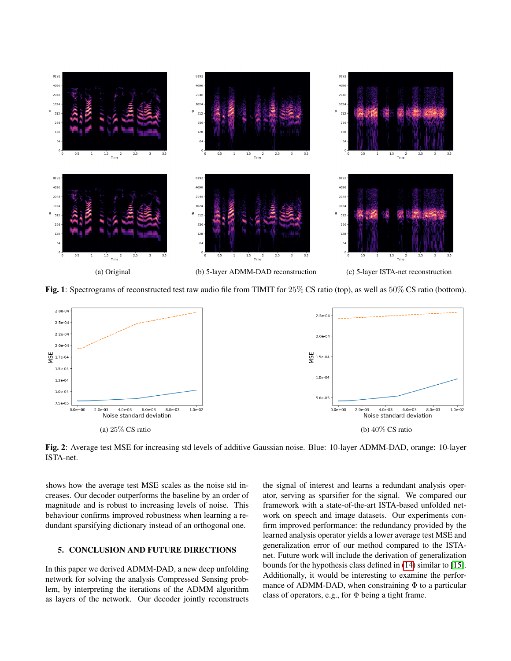<span id="page-3-0"></span>

Fig. 1: Spectrograms of reconstructed test raw audio file from TIMIT for 25% CS ratio (top), as well as 50% CS ratio (bottom).

<span id="page-3-1"></span>

Fig. 2: Average test MSE for increasing std levels of additive Gaussian noise. Blue: 10-layer ADMM-DAD, orange: 10-layer ISTA-net.

shows how the average test MSE scales as the noise std increases. Our decoder outperforms the baseline by an order of magnitude and is robust to increasing levels of noise. This behaviour confirms improved robustness when learning a redundant sparsifying dictionary instead of an orthogonal one.

## 5. CONCLUSION AND FUTURE DIRECTIONS

In this paper we derived ADMM-DAD, a new deep unfolding network for solving the analysis Compressed Sensing problem, by interpreting the iterations of the ADMM algorithm as layers of the network. Our decoder jointly reconstructs the signal of interest and learns a redundant analysis operator, serving as sparsifier for the signal. We compared our framework with a state-of-the-art ISTA-based unfolded network on speech and image datasets. Our experiments confirm improved performance: the redundancy provided by the learned analysis operator yields a lower average test MSE and generalization error of our method compared to the ISTAnet. Future work will include the derivation of generalization bounds for the hypothesis class defined in [\(14\)](#page-1-8) similar to [\[15\]](#page-4-14). Additionally, it would be interesting to examine the performance of ADMM-DAD, when constraining  $\Phi$  to a particular class of operators, e.g., for  $\Phi$  being a tight frame.